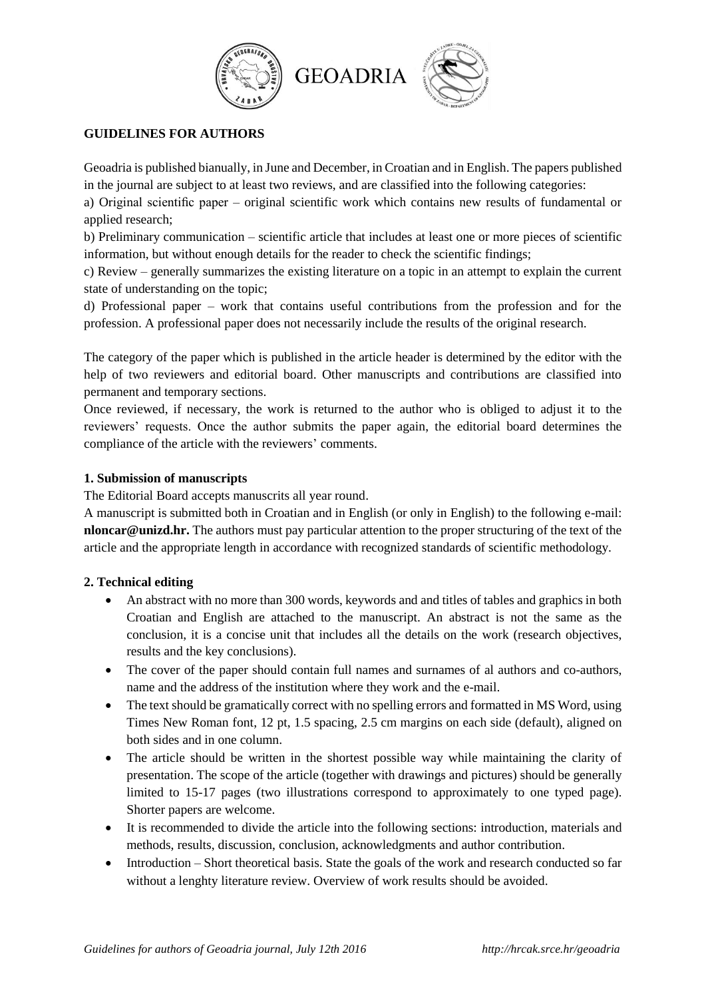



# **GUIDELINES FOR AUTHORS**

Geoadria is published bianually, in June and December, in Croatian and in English. The papers published in the journal are subject to at least two reviews, and are classified into the following categories:

a) Original scientific paper – original scientific work which contains new results of fundamental or applied research;

b) Preliminary communication – scientific article that includes at least one or more pieces of scientific information, but without enough details for the reader to check the scientific findings;

c) Review – generally summarizes the existing literature on a topic in an attempt to explain the current state of understanding on the topic;

d) Professional paper – work that contains useful contributions from the profession and for the profession. A professional paper does not necessarily include the results of the original research.

The category of the paper which is published in the article header is determined by the editor with the help of two reviewers and editorial board. Other manuscripts and contributions are classified into permanent and temporary sections.

Once reviewed, if necessary, the work is returned to the author who is obliged to adjust it to the reviewers' requests. Once the author submits the paper again, the editorial board determines the compliance of the article with the reviewers' comments.

# **1. Submission of manuscripts**

The Editorial Board accepts manuscrits all year round.

A manuscript is submitted both in Croatian and in English (or only in English) to the following e-mail: **nloncar@unizd.hr.** The authors must pay particular attention to the proper structuring of the text of the article and the appropriate length in accordance with recognized standards of scientific methodology.

# **2. Technical editing**

- An abstract with no more than 300 words, keywords and and titles of tables and graphics in both Croatian and English are attached to the manuscript. An abstract is not the same as the conclusion, it is a concise unit that includes all the details on the work (research objectives, results and the key conclusions).
- The cover of the paper should contain full names and surnames of al authors and co-authors, name and the address of the institution where they work and the e-mail.
- The text should be gramatically correct with no spelling errors and formatted in MS Word, using Times New Roman font, 12 pt, 1.5 spacing, 2.5 cm margins on each side (default), aligned on both sides and in one column.
- The article should be written in the shortest possible way while maintaining the clarity of presentation. The scope of the article (together with drawings and pictures) should be generally limited to 15-17 pages (two illustrations correspond to approximately to one typed page). Shorter papers are welcome.
- It is recommended to divide the article into the following sections: introduction, materials and methods, results, discussion, conclusion, acknowledgments and author contribution.
- Introduction Short theoretical basis. State the goals of the work and research conducted so far without a lenghty literature review. Overview of work results should be avoided.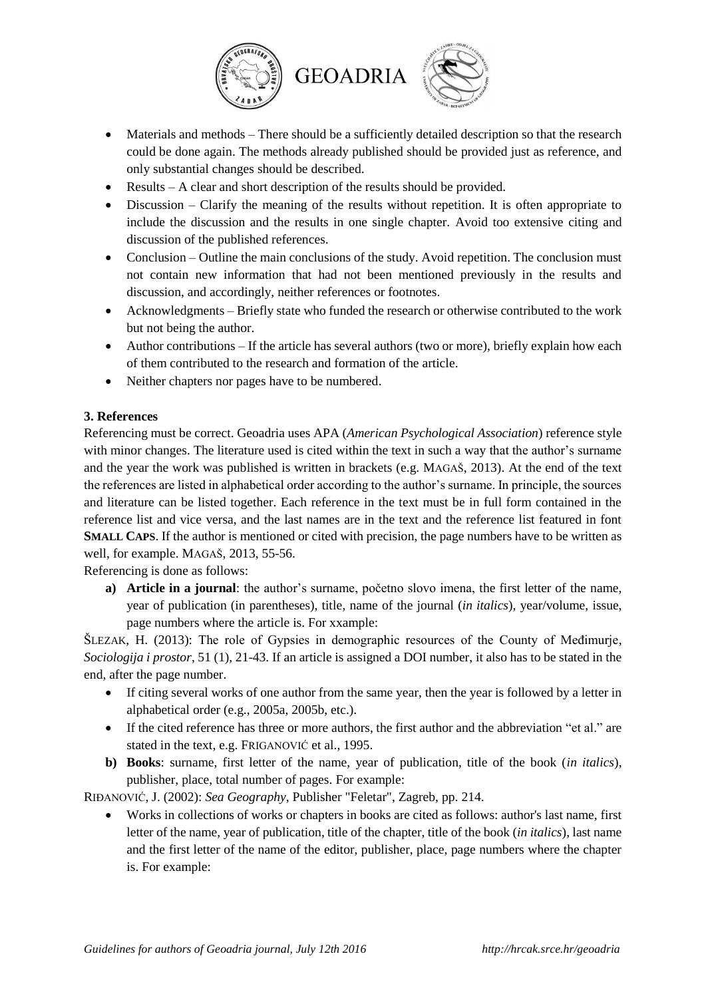

- Materials and methods There should be a sufficiently detailed description so that the research could be done again. The methods already published should be provided just as reference, and only substantial changes should be described.
- Results A clear and short description of the results should be provided.
- Discussion Clarify the meaning of the results without repetition. It is often appropriate to include the discussion and the results in one single chapter. Avoid too extensive citing and discussion of the published references.
- Conclusion Outline the main conclusions of the study. Avoid repetition. The conclusion must not contain new information that had not been mentioned previously in the results and discussion, and accordingly, neither references or footnotes.
- Acknowledgments Briefly state who funded the research or otherwise contributed to the work but not being the author.
- $\bullet$  Author contributions If the article has several authors (two or more), briefly explain how each of them contributed to the research and formation of the article.
- Neither chapters nor pages have to be numbered.

# **3. References**

Referencing must be correct. Geoadria uses APA (*American Psychological Association*) reference style with minor changes. The literature used is cited within the text in such a way that the author's surname and the year the work was published is written in brackets (e.g. MAGAŠ, 2013). At the end of the text the references are listed in alphabetical order according to the author's surname. In principle, the sources and literature can be listed together. Each reference in the text must be in full form contained in the reference list and vice versa, and the last names are in the text and the reference list featured in font **SMALL CAPS**. If the author is mentioned or cited with precision, the page numbers have to be written as well, for example. MAGAŠ, 2013, 55-56.

Referencing is done as follows:

**a) Article in a journal**: the author's surname, početno slovo imena, the first letter of the name, year of publication (in parentheses), title, name of the journal (*in italics*), year/volume, issue, page numbers where the article is. For xxample:

ŠLEZAK, H. (2013): The role of Gypsies in demographic resources of the County of Međimurje, *Sociologija i prostor*, 51 (1), 21-43. If an article is assigned a DOI number, it also has to be stated in the end, after the page number.

- If citing several works of one author from the same year, then the year is followed by a letter in alphabetical order (e.g., 2005a, 2005b, etc.).
- If the cited reference has three or more authors, the first author and the abbreviation "et al." are stated in the text, e.g. FRIGANOVIĆ et al., 1995.
- **b) Books**: surname, first letter of the name, year of publication, title of the book (*in italics*), publisher, place, total number of pages. For example:

RIĐANOVIĆ, J. (2002): *Sea Geography*, Publisher "Feletar", Zagreb, pp. 214.

 Works in collections of works or chapters in books are cited as follows: author's last name, first letter of the name, year of publication, title of the chapter, title of the book (*in italics*), last name and the first letter of the name of the editor, publisher, place, page numbers where the chapter is. For example: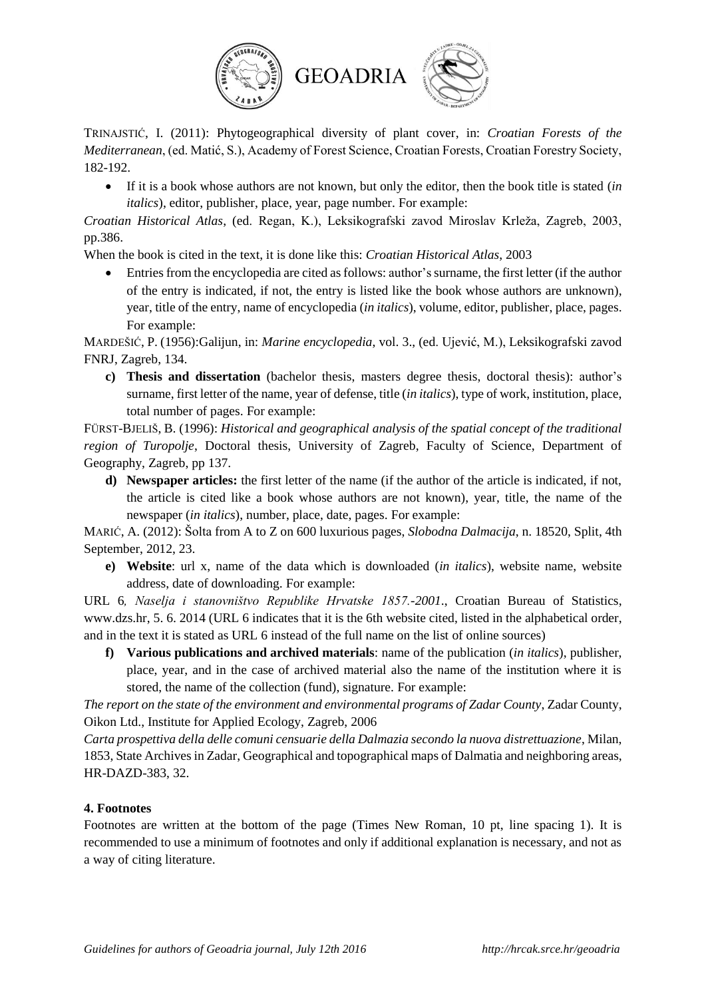

TRINAJSTIĆ, I. (2011): Phytogeographical diversity of plant cover, in: *Croatian Forests of the Mediterranean*, (ed. Matić, S.), Academy of Forest Science, Croatian Forests, Croatian Forestry Society, 182-192.

 If it is a book whose authors are not known, but only the editor, then the book title is stated (*in italics*), editor, publisher, place, year, page number. For example:

*Croatian Historical Atlas*, (ed. Regan, K.), Leksikografski zavod Miroslav Krleža, Zagreb, 2003, pp.386.

When the book is cited in the text, it is done like this: *Croatian Historical Atlas*, 2003

• Entries from the encyclopedia are cited as follows: author's surname, the first letter (if the author of the entry is indicated, if not, the entry is listed like the book whose authors are unknown), year, title of the entry, name of encyclopedia (*in italics*), volume, editor, publisher, place, pages. For example:

MARDEŠIĆ, P. (1956):Galijun, in: *Marine encyclopedia*, vol. 3., (ed. Ujević, M.), Leksikografski zavod FNRJ, Zagreb, 134.

**c) Thesis and dissertation** (bachelor thesis, masters degree thesis, doctoral thesis): author's surname, first letter of the name, year of defense, title (*in italics*), type of work, institution, place, total number of pages. For example:

FÜRST-BJELIŠ, B. (1996): *Historical and geographical analysis of the spatial concept of the traditional region of Turopolje*, Doctoral thesis, University of Zagreb, Faculty of Science, Department of Geography, Zagreb, pp 137.

**d) Newspaper articles:** the first letter of the name (if the author of the article is indicated, if not, the article is cited like a book whose authors are not known), year, title, the name of the newspaper (*in italics*), number, place, date, pages. For example:

MARIĆ, A. (2012): Šolta from A to Z on 600 luxurious pages, *Slobodna Dalmacija*, n. 18520, Split, 4th September, 2012, 23.

**e) Website**: url x, name of the data which is downloaded (*in italics*), website name, website address, date of downloading. For example:

URL 6*, Naselja i stanovništvo Republike Hrvatske 1857.-2001*., Croatian Bureau of Statistics, www.dzs.hr, 5. 6. 2014 (URL 6 indicates that it is the 6th website cited, listed in the alphabetical order, and in the text it is stated as URL 6 instead of the full name on the list of online sources)

**f) Various publications and archived materials**: name of the publication (*in italics*), publisher, place, year, and in the case of archived material also the name of the institution where it is stored, the name of the collection (fund), signature. For example:

*The report on the state of the environment and environmental programs of Zadar County*, Zadar County, Oikon Ltd., Institute for Applied Ecology, Zagreb, 2006

*Carta prospettiva della delle comuni censuarie della Dalmazia secondo la nuova distrettuazione*, Milan, 1853, State Archives in Zadar, Geographical and topographical maps of Dalmatia and neighboring areas, HR-DAZD-383, 32.

# **4. Footnotes**

Footnotes are written at the bottom of the page (Times New Roman, 10 pt, line spacing 1). It is recommended to use a minimum of footnotes and only if additional explanation is necessary, and not as a way of citing literature.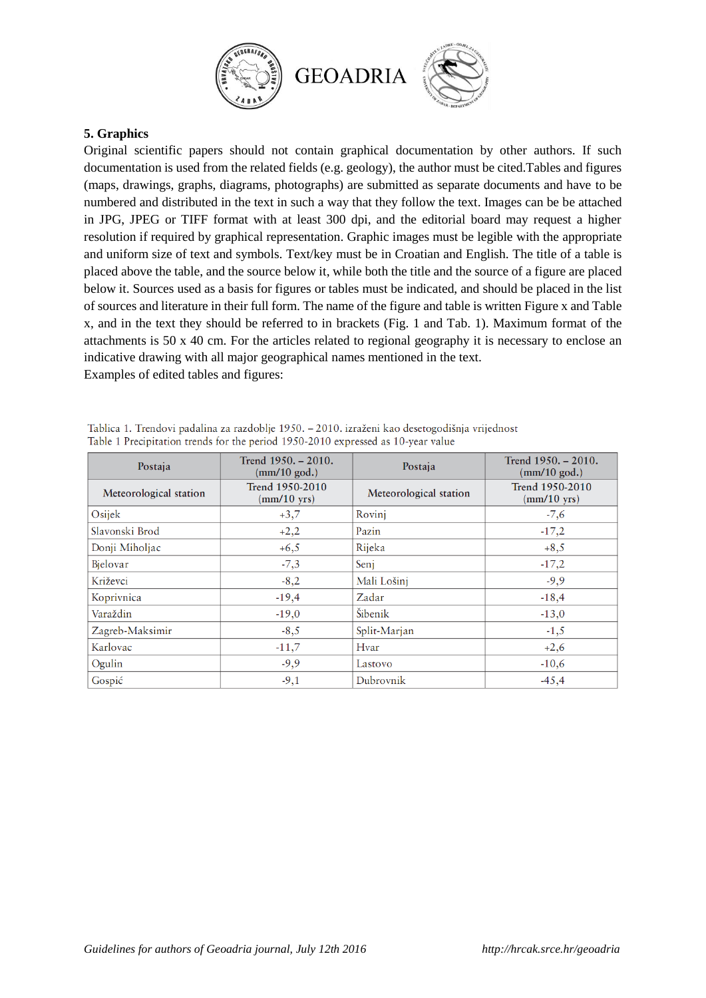

## **5. Graphics**

Original scientific papers should not contain graphical documentation by other authors. If such documentation is used from the related fields (e.g. geology), the author must be cited.Tables and figures (maps, drawings, graphs, diagrams, photographs) are submitted as separate documents and have to be numbered and distributed in the text in such a way that they follow the text. Images can be be attached in JPG, JPEG or TIFF format with at least 300 dpi, and the editorial board may request a higher resolution if required by graphical representation. Graphic images must be legible with the appropriate and uniform size of text and symbols. Text/key must be in Croatian and English. The title of a table is placed above the table, and the source below it, while both the title and the source of a figure are placed below it. Sources used as a basis for figures or tables must be indicated, and should be placed in the list of sources and literature in their full form. The name of the figure and table is written Figure x and Table x, and in the text they should be referred to in brackets (Fig. 1 and Tab. 1). Maximum format of the attachments is 50 x 40 cm. For the articles related to regional geography it is necessary to enclose an indicative drawing with all major geographical names mentioned in the text. Examples of edited tables and figures:

| Postaja                | Trend 1950. - 2010.<br>$\text{(mm/10 god.)}$        | Postaja                | Trend $1950. - 2010.$<br>$\text{mm}/10 \text{ god.}$ |  |
|------------------------|-----------------------------------------------------|------------------------|------------------------------------------------------|--|
| Meteorological station | Trend 1950-2010<br>$\text{m}/\text{10} \text{ yrs}$ | Meteorological station | Trend 1950-2010<br>$\text{(mm/10 yrs)}$              |  |
| Osijek                 | $+3,7$                                              | Rovinj                 | $-7,6$                                               |  |
| Slavonski Brod         | $+2,2$                                              | Pazin                  | $-17,2$                                              |  |
| Donji Miholjac         | $+6,5$                                              | Rijeka                 | $+8,5$                                               |  |
| Bjelovar               | $-7,3$                                              | Seni                   | $-17,2$                                              |  |
| Križevci               | $-8,2$                                              | Mali Lošinj            | $-9,9$                                               |  |
| Koprivnica             | $-19,4$                                             | Zadar                  | $-18,4$                                              |  |
| Varaždin               | $-19,0$                                             | Šibenik                | $-13,0$                                              |  |
| Zagreb-Maksimir        | $-8,5$                                              | Split-Marjan           | $-1,5$                                               |  |
| Karlovac               | $-11,7$                                             | Hvar                   | $+2,6$                                               |  |
| Ogulin                 | $-9,9$                                              | Lastovo                | $-10,6$                                              |  |
| Gospić                 | $-9,1$                                              | Dubrovnik              | $-45,4$                                              |  |

|  |                                                                                  |  |  | Tablica 1. Trendovi padalina za razdoblje 1950. – 2010. izraženi kao desetogodišnja vrijednost |  |
|--|----------------------------------------------------------------------------------|--|--|------------------------------------------------------------------------------------------------|--|
|  | Table 1 Precipitation trends for the period 1950-2010 expressed as 10-year value |  |  |                                                                                                |  |